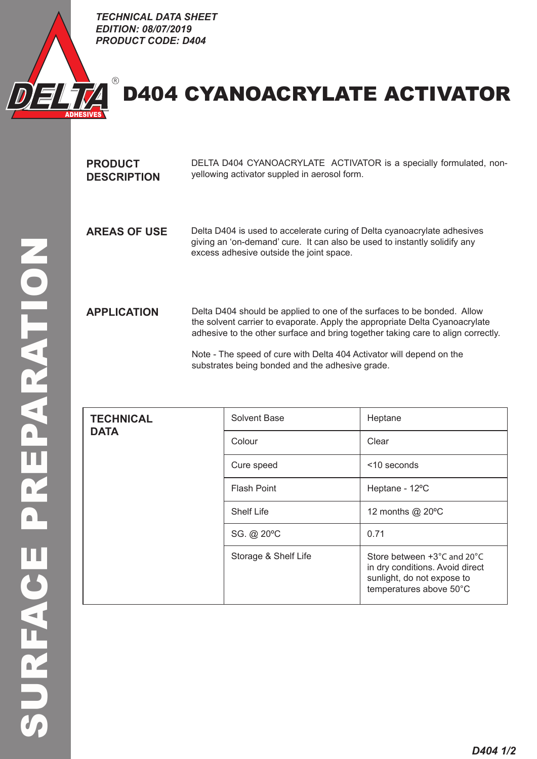

## D404 **CYANOACRYLATE** ACTIVATOR  $D = \frac{1}{2}$

*TECHNICAL DATA SHEET EDITION: PRODUCT CODE: D404*

| <b>PRODUCT</b><br><b>DESCRIPTION</b> | DELTA D404 CYANOACRYLATE ACTIVATOR is a specially formulated, non-<br>yellowing activator suppled in aerosol form.                                                                                                                         |
|--------------------------------------|--------------------------------------------------------------------------------------------------------------------------------------------------------------------------------------------------------------------------------------------|
| <b>AREAS OF USE</b>                  | Delta D404 is used to accelerate curing of Delta cyanoacrylate adhesives<br>giving an 'on-demand' cure. It can also be used to instantly solidify any<br>excess adhesive outside the joint space.                                          |
| <b>APPLICATION</b>                   | Delta D404 should be applied to one of the surfaces to be bonded. Allow<br>the solvent carrier to evaporate. Apply the appropriate Delta Cyanoacrylate<br>adhesive to the other surface and bring together taking care to align correctly. |
|                                      | Note - The speed of cure with Delta 404 Activator will depend on the<br>substrates being bonded and the adhesive grade.                                                                                                                    |

| <b>TECHNICAL</b> | Solvent Base         | Heptane                                                                                                                                      |
|------------------|----------------------|----------------------------------------------------------------------------------------------------------------------------------------------|
| <b>DATA</b>      | Colour               | Clear                                                                                                                                        |
|                  | Cure speed           | <10 seconds                                                                                                                                  |
|                  | <b>Flash Point</b>   | Heptane - 12°C                                                                                                                               |
|                  | <b>Shelf Life</b>    | 12 months @ 20°C                                                                                                                             |
|                  | SG. @ 20°C           | 0.71                                                                                                                                         |
|                  | Storage & Shelf Life | Store between $+3^{\circ}$ C and 20 $^{\circ}$ C<br>in dry conditions. Avoid direct<br>sunlight, do not expose to<br>temperatures above 50°C |
|                  |                      |                                                                                                                                              |